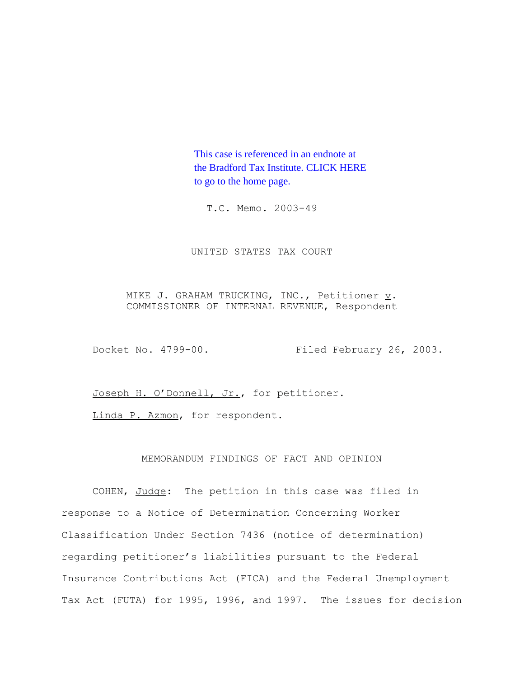This case is referenced in an endnote at [the Bradford Tax Institute. CLICK HERE](http://www.bradfordtaxinstitute.com/)  to go to the home page.

T.C. Memo. 2003-49

UNITED STATES TAX COURT

MIKE J. GRAHAM TRUCKING, INC., Petitioner  $\underline{v}$ . COMMISSIONER OF INTERNAL REVENUE, Respondent

Docket No. 4799-00. Filed February 26, 2003.

Joseph H. O'Donnell, Jr., for petitioner.

Linda P. Azmon, for respondent.

# MEMORANDUM FINDINGS OF FACT AND OPINION

COHEN, Judge: The petition in this case was filed in response to a Notice of Determination Concerning Worker Classification Under Section 7436 (notice of determination) regarding petitioner's liabilities pursuant to the Federal Insurance Contributions Act (FICA) and the Federal Unemployment Tax Act (FUTA) for 1995, 1996, and 1997. The issues for decision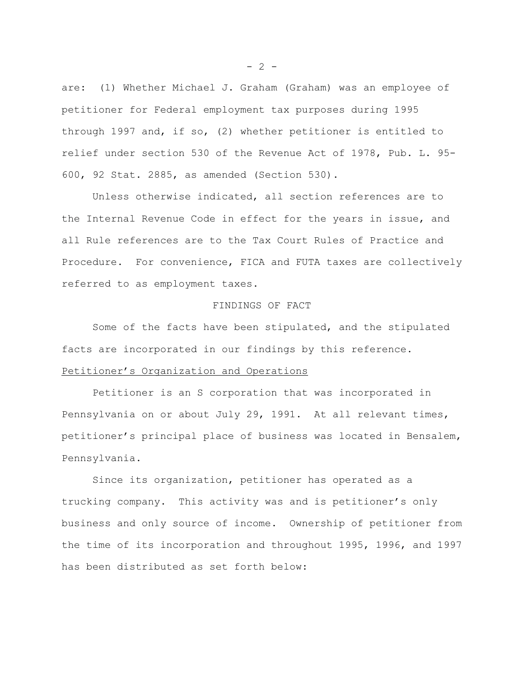are: (1) Whether Michael J. Graham (Graham) was an employee of petitioner for Federal employment tax purposes during 1995 through 1997 and, if so, (2) whether petitioner is entitled to relief under section 530 of the Revenue Act of 1978, Pub. L. 95- 600, 92 Stat. 2885, as amended (Section 530).

Unless otherwise indicated, all section references are to the Internal Revenue Code in effect for the years in issue, and all Rule references are to the Tax Court Rules of Practice and Procedure. For convenience, FICA and FUTA taxes are collectively referred to as employment taxes.

## FINDINGS OF FACT

Some of the facts have been stipulated, and the stipulated facts are incorporated in our findings by this reference.

# Petitioner's Organization and Operations

Petitioner is an S corporation that was incorporated in Pennsylvania on or about July 29, 1991. At all relevant times, petitioner's principal place of business was located in Bensalem, Pennsylvania.

Since its organization, petitioner has operated as a trucking company. This activity was and is petitioner's only business and only source of income. Ownership of petitioner from the time of its incorporation and throughout 1995, 1996, and 1997 has been distributed as set forth below:

 $- 2 -$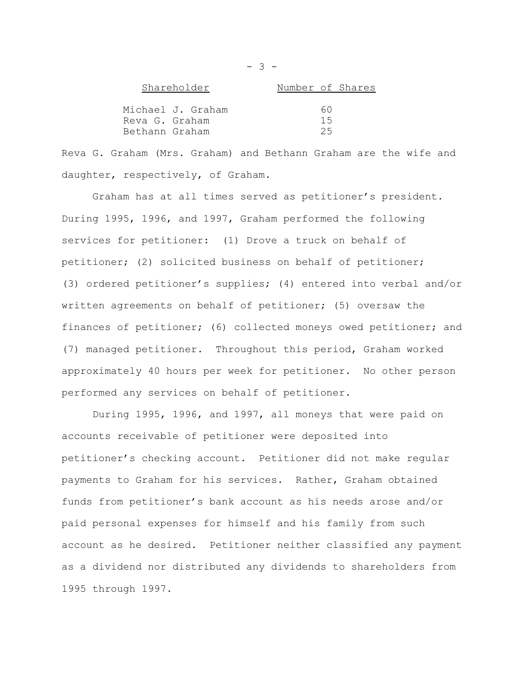| Shareholder    |                   | Number of Shares |    |  |
|----------------|-------------------|------------------|----|--|
|                |                   |                  |    |  |
|                | Michael J. Graham |                  | 60 |  |
| Reva G. Graham |                   |                  | 15 |  |
| Bethann Graham |                   |                  | 25 |  |

Reva G. Graham (Mrs. Graham) and Bethann Graham are the wife and daughter, respectively, of Graham.

Graham has at all times served as petitioner's president. During 1995, 1996, and 1997, Graham performed the following services for petitioner: (1) Drove a truck on behalf of petitioner; (2) solicited business on behalf of petitioner; (3) ordered petitioner's supplies; (4) entered into verbal and/or written agreements on behalf of petitioner; (5) oversaw the finances of petitioner; (6) collected moneys owed petitioner; and (7) managed petitioner. Throughout this period, Graham worked approximately 40 hours per week for petitioner. No other person performed any services on behalf of petitioner.

During 1995, 1996, and 1997, all moneys that were paid on accounts receivable of petitioner were deposited into petitioner's checking account. Petitioner did not make regular payments to Graham for his services. Rather, Graham obtained funds from petitioner's bank account as his needs arose and/or paid personal expenses for himself and his family from such account as he desired. Petitioner neither classified any payment as a dividend nor distributed any dividends to shareholders from 1995 through 1997.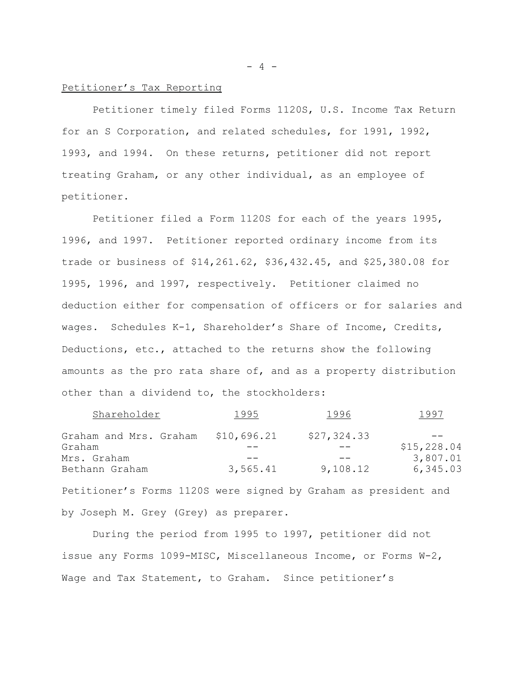### Petitioner's Tax Reporting

Petitioner timely filed Forms 1120S, U.S. Income Tax Return for an S Corporation, and related schedules, for 1991, 1992, 1993, and 1994. On these returns, petitioner did not report treating Graham, or any other individual, as an employee of petitioner.

Petitioner filed a Form 1120S for each of the years 1995, 1996, and 1997. Petitioner reported ordinary income from its trade or business of \$14,261.62, \$36,432.45, and \$25,380.08 for 1995, 1996, and 1997, respectively. Petitioner claimed no deduction either for compensation of officers or for salaries and wages. Schedules K-1, Shareholder's Share of Income, Credits, Deductions, etc., attached to the returns show the following amounts as the pro rata share of, and as a property distribution other than a dividend to, the stockholders:

| Shareholder            | 1995        | 1996        | 1997        |
|------------------------|-------------|-------------|-------------|
| Graham and Mrs. Graham | \$10,696.21 | \$27,324.33 |             |
| Graham                 |             |             | \$15,228.04 |
| Mrs. Graham            |             |             | 3,807.01    |
| Bethann Graham         | 3,565.41    | 9,108.12    | 6,345.03    |

Petitioner's Forms 1120S were signed by Graham as president and by Joseph M. Grey (Grey) as preparer.

During the period from 1995 to 1997, petitioner did not issue any Forms 1099-MISC, Miscellaneous Income, or Forms W-2, Wage and Tax Statement, to Graham. Since petitioner's

 $- 4 -$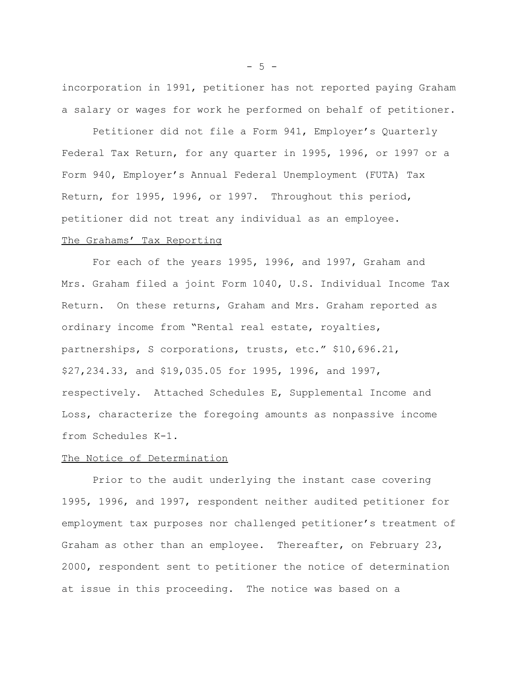incorporation in 1991, petitioner has not reported paying Graham a salary or wages for work he performed on behalf of petitioner.

Petitioner did not file a Form 941, Employer's Quarterly Federal Tax Return, for any quarter in 1995, 1996, or 1997 or a Form 940, Employer's Annual Federal Unemployment (FUTA) Tax Return, for 1995, 1996, or 1997. Throughout this period, petitioner did not treat any individual as an employee.

## The Grahams' Tax Reporting

For each of the years 1995, 1996, and 1997, Graham and Mrs. Graham filed a joint Form 1040, U.S. Individual Income Tax Return. On these returns, Graham and Mrs. Graham reported as ordinary income from "Rental real estate, royalties, partnerships, S corporations, trusts, etc." \$10,696.21, \$27,234.33, and \$19,035.05 for 1995, 1996, and 1997, respectively. Attached Schedules E, Supplemental Income and Loss, characterize the foregoing amounts as nonpassive income from Schedules K-1.

#### The Notice of Determination

Prior to the audit underlying the instant case covering 1995, 1996, and 1997, respondent neither audited petitioner for employment tax purposes nor challenged petitioner's treatment of Graham as other than an employee. Thereafter, on February 23, 2000, respondent sent to petitioner the notice of determination at issue in this proceeding. The notice was based on a

 $-5 -$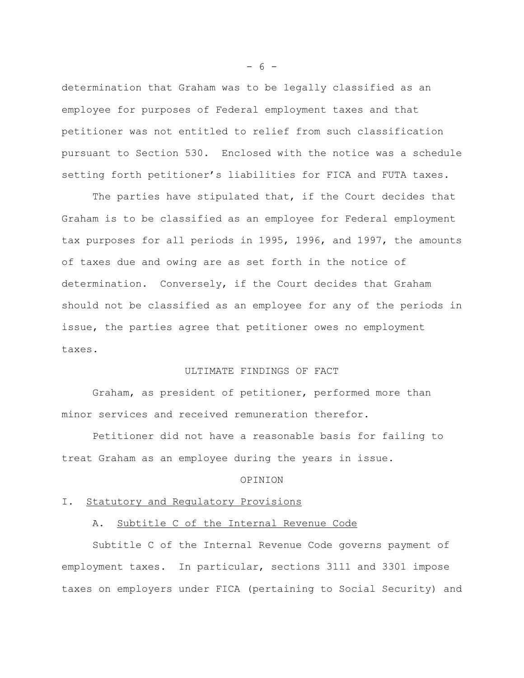determination that Graham was to be legally classified as an employee for purposes of Federal employment taxes and that petitioner was not entitled to relief from such classification pursuant to Section 530. Enclosed with the notice was a schedule setting forth petitioner's liabilities for FICA and FUTA taxes.

The parties have stipulated that, if the Court decides that Graham is to be classified as an employee for Federal employment tax purposes for all periods in 1995, 1996, and 1997, the amounts of taxes due and owing are as set forth in the notice of determination. Conversely, if the Court decides that Graham should not be classified as an employee for any of the periods in issue, the parties agree that petitioner owes no employment taxes.

#### ULTIMATE FINDINGS OF FACT

Graham, as president of petitioner, performed more than minor services and received remuneration therefor.

Petitioner did not have a reasonable basis for failing to treat Graham as an employee during the years in issue.

## OPINION

#### I. Statutory and Regulatory Provisions

## A. Subtitle C of the Internal Revenue Code

Subtitle C of the Internal Revenue Code governs payment of employment taxes. In particular, sections 3111 and 3301 impose taxes on employers under FICA (pertaining to Social Security) and

- 6 -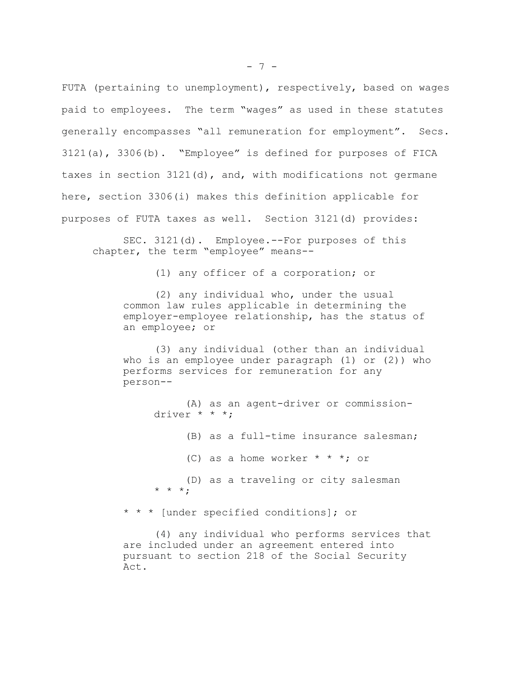FUTA (pertaining to unemployment), respectively, based on wages paid to employees. The term "wages" as used in these statutes generally encompasses "all remuneration for employment". Secs. 3121(a), 3306(b). "Employee" is defined for purposes of FICA taxes in section 3121(d), and, with modifications not germane here, section 3306(i) makes this definition applicable for purposes of FUTA taxes as well. Section 3121(d) provides:

SEC. 3121(d). Employee.--For purposes of this chapter, the term "employee" means--

(1) any officer of a corporation; or

(2) any individual who, under the usual common law rules applicable in determining the employer-employee relationship, has the status of an employee; or

(3) any individual (other than an individual who is an employee under paragraph (1) or (2)) who performs services for remuneration for any person--

(A) as an agent-driver or commissiondriver \* \* \*; (B) as a full-time insurance salesman; (C) as a home worker  $* * *$ ; or (D) as a traveling or city salesman  $* * *$ ;

\* \* \* [under specified conditions]; or

(4) any individual who performs services that are included under an agreement entered into pursuant to section 218 of the Social Security Act.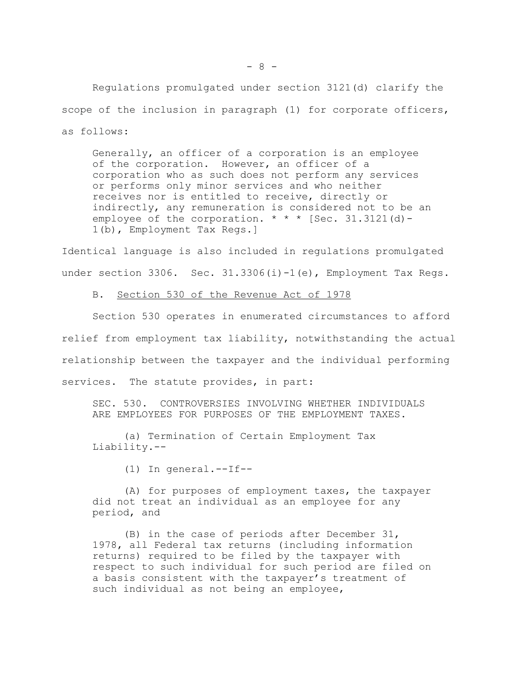$- 8 -$ 

Regulations promulgated under section 3121(d) clarify the scope of the inclusion in paragraph (1) for corporate officers, as follows:

Generally, an officer of a corporation is an employee of the corporation. However, an officer of a corporation who as such does not perform any services or performs only minor services and who neither receives nor is entitled to receive, directly or indirectly, any remuneration is considered not to be an employee of the corporation.  $* * *$  [Sec. 31.3121(d)-1(b), Employment Tax Regs.]

Identical language is also included in regulations promulgated under section 3306. Sec. 31.3306(i)-1(e), Employment Tax Regs.

B. Section 530 of the Revenue Act of 1978

Section 530 operates in enumerated circumstances to afford relief from employment tax liability, notwithstanding the actual relationship between the taxpayer and the individual performing services. The statute provides, in part:

SEC. 530. CONTROVERSIES INVOLVING WHETHER INDIVIDUALS ARE EMPLOYEES FOR PURPOSES OF THE EMPLOYMENT TAXES.

(a) Termination of Certain Employment Tax Liability.--

(1) In general.--If--

(A) for purposes of employment taxes, the taxpayer did not treat an individual as an employee for any period, and

(B) in the case of periods after December 31, 1978, all Federal tax returns (including information returns) required to be filed by the taxpayer with respect to such individual for such period are filed on a basis consistent with the taxpayer's treatment of such individual as not being an employee,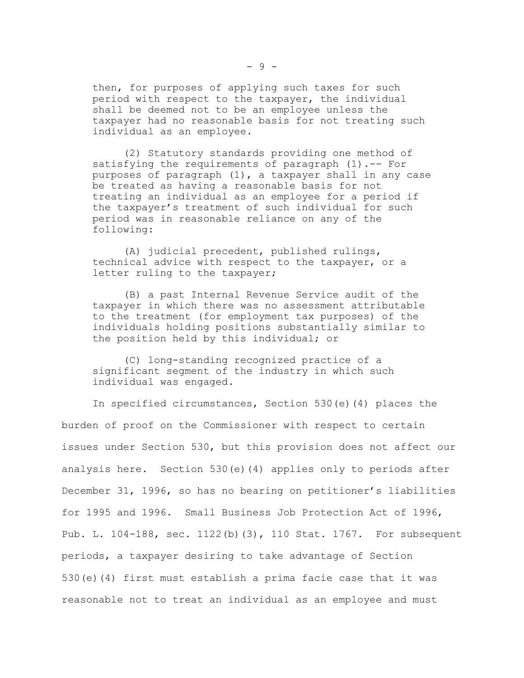then, for purposes of applying such taxes for such period with respect to the taxpayer, the individual shall be deemed not to be an employee unless the taxpayer had no reasonable basis for not treating such individual as an employee.

(2) Statutory standards providing one method of satisfying the requirements of paragraph (1).-- For purposes of paragraph (1), a taxpayer shall in any case be treated as having a reasonable basis for not treating an individual as an employee for a period if the taxpayer's treatment of such individual for such period was in reasonable reliance on any of the following:

(A) judicial precedent, published rulings, technical advice with respect to the taxpayer, or a letter ruling to the taxpayer;

(B) a past Internal Revenue Service audit of the taxpayer in which there was no assessment attributable to the treatment (for employment tax purposes) of the individuals holding positions substantially similar to the position held by this individual; or

(C) long-standing recognized practice of a significant segment of the industry in which such individual was engaged.

In specified circumstances, Section 530(e)(4) places the burden of proof on the Commissioner with respect to certain issues under Section 530, but this provision does not affect our analysis here. Section 530(e)(4) applies only to periods after December 31, 1996, so has no bearing on petitioner's liabilities for 1995 and 1996. Small Business Job Protection Act of 1996, Pub. L. 104-188, sec. 1122(b)(3), 110 Stat. 1767. For subsequent periods, a taxpayer desiring to take advantage of Section 530(e)(4) first must establish a prima facie case that it was reasonable not to treat an individual as an employee and must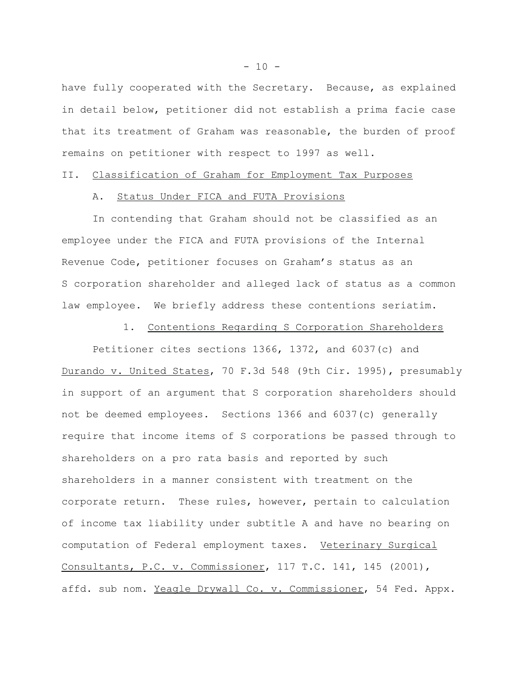have fully cooperated with the Secretary. Because, as explained in detail below, petitioner did not establish a prima facie case that its treatment of Graham was reasonable, the burden of proof remains on petitioner with respect to 1997 as well.

## II. Classification of Graham for Employment Tax Purposes

## A. Status Under FICA and FUTA Provisions

In contending that Graham should not be classified as an employee under the FICA and FUTA provisions of the Internal Revenue Code, petitioner focuses on Graham's status as an S corporation shareholder and alleged lack of status as a common law employee. We briefly address these contentions seriatim.

## 1. Contentions Regarding S Corporation Shareholders

Petitioner cites sections 1366, 1372, and 6037(c) and Durando v. United States, 70 F.3d 548 (9th Cir. 1995), presumably in support of an argument that S corporation shareholders should not be deemed employees. Sections 1366 and 6037(c) generally require that income items of S corporations be passed through to shareholders on a pro rata basis and reported by such shareholders in a manner consistent with treatment on the corporate return. These rules, however, pertain to calculation of income tax liability under subtitle A and have no bearing on computation of Federal employment taxes. Veterinary Surgical Consultants, P.C. v. Commissioner, 117 T.C. 141, 145 (2001), affd. sub nom. Yeagle Drywall Co. v. Commissioner, 54 Fed. Appx.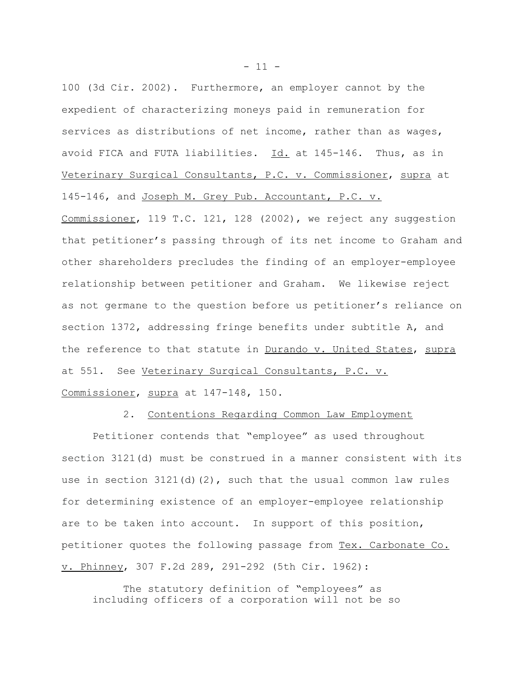100 (3d Cir. 2002). Furthermore, an employer cannot by the expedient of characterizing moneys paid in remuneration for services as distributions of net income, rather than as wages, avoid FICA and FUTA liabilities. Id. at 145-146. Thus, as in Veterinary Surgical Consultants, P.C. v. Commissioner, supra at 145-146, and Joseph M. Grey Pub. Accountant, P.C. v. Commissioner, 119 T.C. 121, 128 (2002), we reject any suggestion that petitioner's passing through of its net income to Graham and other shareholders precludes the finding of an employer-employee relationship between petitioner and Graham. We likewise reject as not germane to the question before us petitioner's reliance on section 1372, addressing fringe benefits under subtitle A, and the reference to that statute in Durando v. United States, supra at 551. See Veterinary Surgical Consultants, P.C. v. Commissioner, supra at 147-148, 150.

2. Contentions Regarding Common Law Employment

Petitioner contends that "employee" as used throughout section 3121(d) must be construed in a manner consistent with its use in section  $3121(d)(2)$ , such that the usual common law rules for determining existence of an employer-employee relationship are to be taken into account. In support of this position, petitioner quotes the following passage from Tex. Carbonate Co. v. Phinney, 307 F.2d 289, 291-292 (5th Cir. 1962):

The statutory definition of "employees" as including officers of a corporation will not be so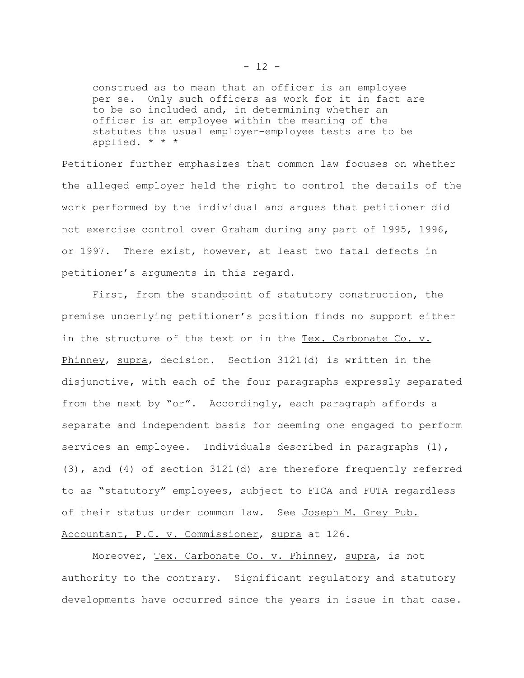construed as to mean that an officer is an employee per se. Only such officers as work for it in fact are to be so included and, in determining whether an officer is an employee within the meaning of the statutes the usual employer-employee tests are to be applied. \* \* \*

Petitioner further emphasizes that common law focuses on whether the alleged employer held the right to control the details of the work performed by the individual and argues that petitioner did not exercise control over Graham during any part of 1995, 1996, or 1997. There exist, however, at least two fatal defects in petitioner's arguments in this regard.

First, from the standpoint of statutory construction, the premise underlying petitioner's position finds no support either in the structure of the text or in the Tex. Carbonate Co. v. Phinney, supra, decision. Section 3121(d) is written in the disjunctive, with each of the four paragraphs expressly separated from the next by "or". Accordingly, each paragraph affords a separate and independent basis for deeming one engaged to perform services an employee. Individuals described in paragraphs (1), (3), and (4) of section 3121(d) are therefore frequently referred to as "statutory" employees, subject to FICA and FUTA regardless of their status under common law. See Joseph M. Grey Pub. Accountant, P.C. v. Commissioner, supra at 126.

Moreover, Tex. Carbonate Co. v. Phinney, supra, is not authority to the contrary. Significant regulatory and statutory developments have occurred since the years in issue in that case.

 $- 12 -$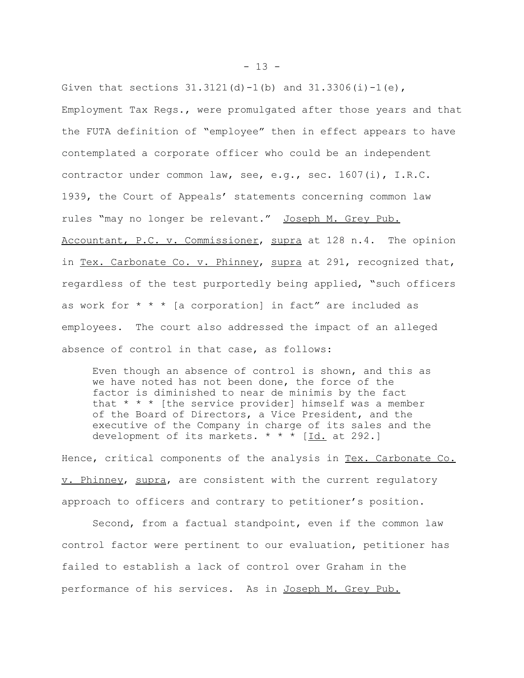Given that sections  $31.3121(d) - 1(b)$  and  $31.3306(i) - 1(e)$ , Employment Tax Regs., were promulgated after those years and that the FUTA definition of "employee" then in effect appears to have contemplated a corporate officer who could be an independent contractor under common law, see, e.g., sec. 1607(i), I.R.C. 1939, the Court of Appeals' statements concerning common law rules "may no longer be relevant." Joseph M. Grey Pub. Accountant, P.C. v. Commissioner, supra at 128 n.4. The opinion in Tex. Carbonate Co. v. Phinney, supra at 291, recognized that, regardless of the test purportedly being applied, "such officers as work for  $* * *$  [a corporation] in fact" are included as employees. The court also addressed the impact of an alleged absence of control in that case, as follows:

Even though an absence of control is shown, and this as we have noted has not been done, the force of the factor is diminished to near de minimis by the fact that  $* * *$  [the service provider] himself was a member of the Board of Directors, a Vice President, and the executive of the Company in charge of its sales and the development of its markets.  $* * * [Id.$  at 292.]

Hence, critical components of the analysis in Tex. Carbonate Co. v. Phinney, supra, are consistent with the current regulatory approach to officers and contrary to petitioner's position.

Second, from a factual standpoint, even if the common law control factor were pertinent to our evaluation, petitioner has failed to establish a lack of control over Graham in the performance of his services. As in Joseph M. Grey Pub.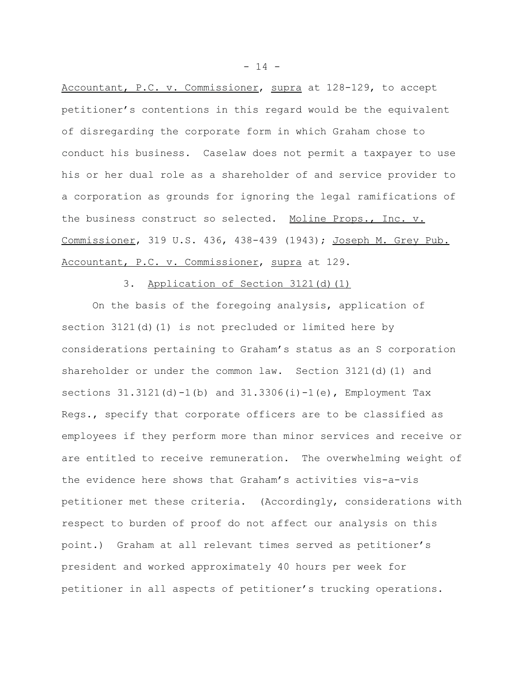Accountant, P.C. v. Commissioner, supra at 128-129, to accept petitioner's contentions in this regard would be the equivalent of disregarding the corporate form in which Graham chose to conduct his business. Caselaw does not permit a taxpayer to use his or her dual role as a shareholder of and service provider to a corporation as grounds for ignoring the legal ramifications of the business construct so selected. Moline Props., Inc. v. Commissioner, 319 U.S. 436, 438-439 (1943); Joseph M. Grey Pub. Accountant, P.C. v. Commissioner, supra at 129.

# 3. Application of Section 3121(d)(1)

On the basis of the foregoing analysis, application of section 3121(d)(1) is not precluded or limited here by considerations pertaining to Graham's status as an S corporation shareholder or under the common law. Section  $3121(d)(1)$  and sections  $31.3121(d) - 1(b)$  and  $31.3306(i) - 1(e)$ , Employment Tax Regs., specify that corporate officers are to be classified as employees if they perform more than minor services and receive or are entitled to receive remuneration. The overwhelming weight of the evidence here shows that Graham's activities vis-a-vis petitioner met these criteria. (Accordingly, considerations with respect to burden of proof do not affect our analysis on this point.) Graham at all relevant times served as petitioner's president and worked approximately 40 hours per week for petitioner in all aspects of petitioner's trucking operations.

 $- 14 -$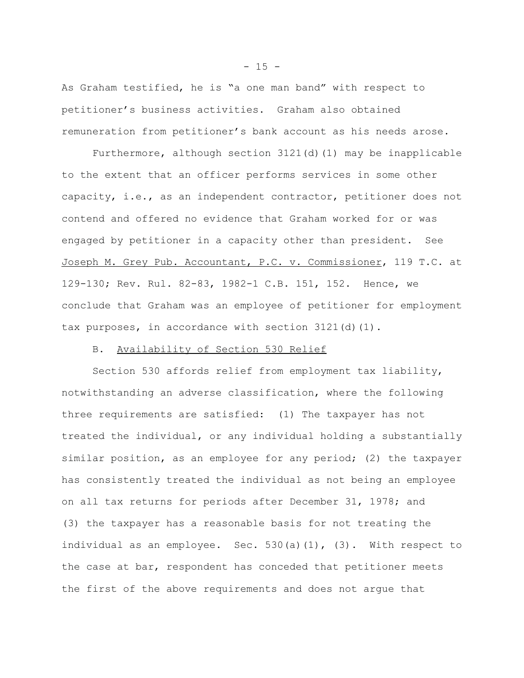As Graham testified, he is "a one man band" with respect to petitioner's business activities. Graham also obtained remuneration from petitioner's bank account as his needs arose.

Furthermore, although section 3121(d)(1) may be inapplicable to the extent that an officer performs services in some other capacity, i.e., as an independent contractor, petitioner does not contend and offered no evidence that Graham worked for or was engaged by petitioner in a capacity other than president. See Joseph M. Grey Pub. Accountant, P.C. v. Commissioner, 119 T.C. at 129-130; Rev. Rul. 82-83, 1982-1 C.B. 151, 152. Hence, we conclude that Graham was an employee of petitioner for employment tax purposes, in accordance with section  $3121(d)(1)$ .

# B. Availability of Section 530 Relief

Section 530 affords relief from employment tax liability, notwithstanding an adverse classification, where the following three requirements are satisfied: (1) The taxpayer has not treated the individual, or any individual holding a substantially similar position, as an employee for any period; (2) the taxpayer has consistently treated the individual as not being an employee on all tax returns for periods after December 31, 1978; and (3) the taxpayer has a reasonable basis for not treating the individual as an employee. Sec.  $530(a)(1)$ ,  $(3)$ . With respect to the case at bar, respondent has conceded that petitioner meets the first of the above requirements and does not argue that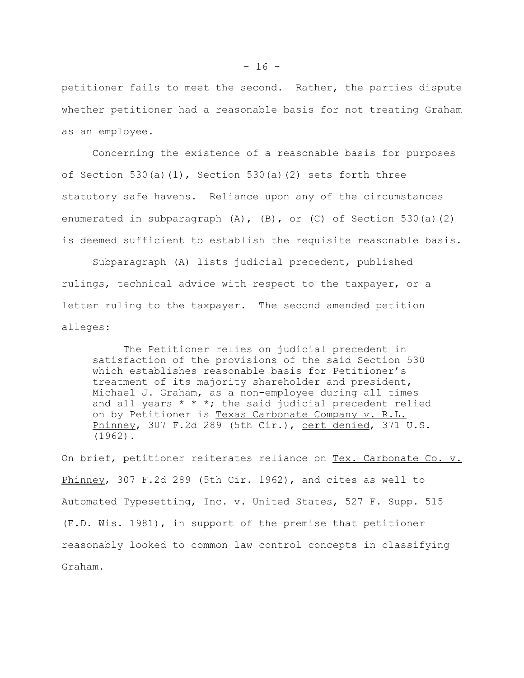petitioner fails to meet the second. Rather, the parties dispute whether petitioner had a reasonable basis for not treating Graham as an employee.

Concerning the existence of a reasonable basis for purposes of Section 530(a)(1), Section 530(a)(2) sets forth three statutory safe havens. Reliance upon any of the circumstances enumerated in subparagraph  $(A)$ ,  $(B)$ , or  $(C)$  of Section 530(a)(2) is deemed sufficient to establish the requisite reasonable basis.

Subparagraph (A) lists judicial precedent, published rulings, technical advice with respect to the taxpayer, or a letter ruling to the taxpayer. The second amended petition alleges:

The Petitioner relies on judicial precedent in satisfaction of the provisions of the said Section 530 which establishes reasonable basis for Petitioner's treatment of its majority shareholder and president, Michael J. Graham, as a non-employee during all times and all years  $* * *$ ; the said judicial precedent relied on by Petitioner is Texas Carbonate Company v. R.L. Phinney, 307 F.2d 289 (5th Cir.), cert denied, 371 U.S. (1962).

On brief, petitioner reiterates reliance on Tex. Carbonate Co. v. Phinney, 307 F.2d 289 (5th Cir. 1962), and cites as well to Automated Typesetting, Inc. v. United States, 527 F. Supp. 515 (E.D. Wis. 1981), in support of the premise that petitioner reasonably looked to common law control concepts in classifying Graham.

 $- 16 -$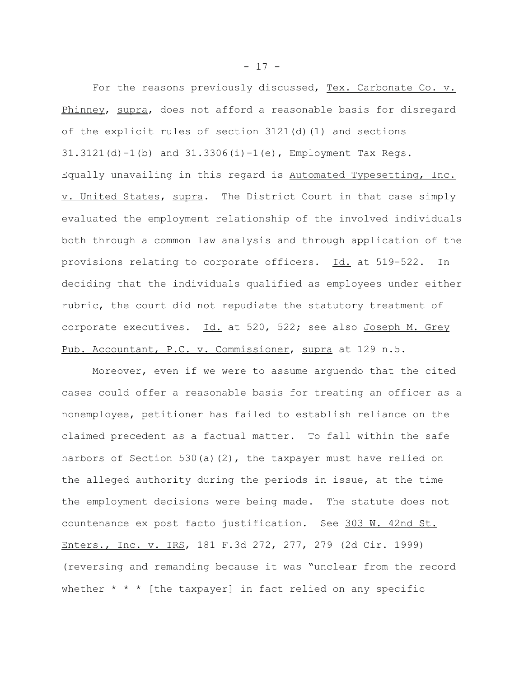For the reasons previously discussed, Tex. Carbonate Co. v. Phinney, supra, does not afford a reasonable basis for disregard of the explicit rules of section  $3121(d)$  (1) and sections  $31.3121(d) - 1(b)$  and  $31.3306(i) - 1(e)$ , Employment Tax Regs. Equally unavailing in this regard is Automated Typesetting, Inc. v. United States, supra. The District Court in that case simply evaluated the employment relationship of the involved individuals both through a common law analysis and through application of the provisions relating to corporate officers. Id. at 519-522. In deciding that the individuals qualified as employees under either rubric, the court did not repudiate the statutory treatment of corporate executives. Id. at 520, 522; see also Joseph M. Grey Pub. Accountant, P.C. v. Commissioner, supra at 129 n.5.

Moreover, even if we were to assume arguendo that the cited cases could offer a reasonable basis for treating an officer as a nonemployee, petitioner has failed to establish reliance on the claimed precedent as a factual matter. To fall within the safe harbors of Section 530(a)(2), the taxpayer must have relied on the alleged authority during the periods in issue, at the time the employment decisions were being made. The statute does not countenance ex post facto justification. See 303 W. 42nd St. Enters., Inc. v. IRS, 181 F.3d 272, 277, 279 (2d Cir. 1999) (reversing and remanding because it was "unclear from the record whether  $* * *$  [the taxpayer] in fact relied on any specific

 $- 17 -$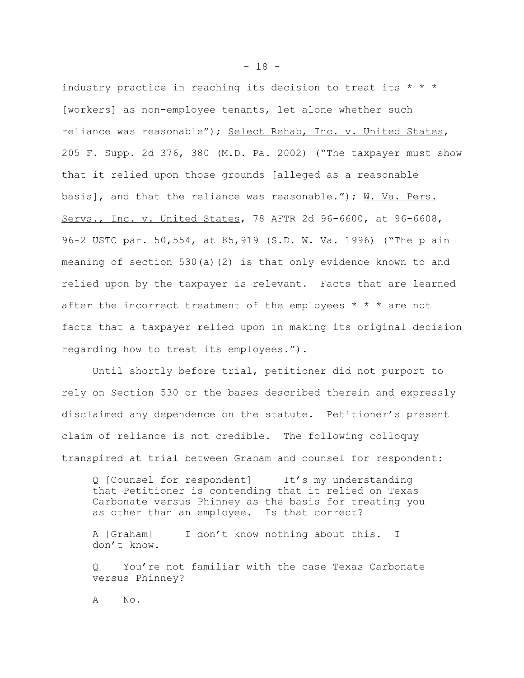industry practice in reaching its decision to treat its  $* * *$ [workers] as non-employee tenants, let alone whether such reliance was reasonable"); Select Rehab, Inc. v. United States, 205 F. Supp. 2d 376, 380 (M.D. Pa. 2002) ("The taxpayer must show that it relied upon those grounds [alleged as a reasonable basis], and that the reliance was reasonable.");  $\text{W. Va. Pers.}$ Servs., Inc. v. United States, 78 AFTR 2d 96-6600, at 96-6608, 96-2 USTC par. 50,554, at 85,919 (S.D. W. Va. 1996) ("The plain meaning of section 530(a)(2) is that only evidence known to and relied upon by the taxpayer is relevant. Facts that are learned after the incorrect treatment of the employees \* \* \* are not facts that a taxpayer relied upon in making its original decision regarding how to treat its employees.").

Until shortly before trial, petitioner did not purport to rely on Section 530 or the bases described therein and expressly disclaimed any dependence on the statute. Petitioner's present claim of reliance is not credible. The following colloquy transpired at trial between Graham and counsel for respondent:

Q [Counsel for respondent] It's my understanding that Petitioner is contending that it relied on Texas Carbonate versus Phinney as the basis for treating you as other than an employee. Is that correct?

A [Graham] I don't know nothing about this. I don't know.

Q You're not familiar with the case Texas Carbonate versus Phinney?

A No.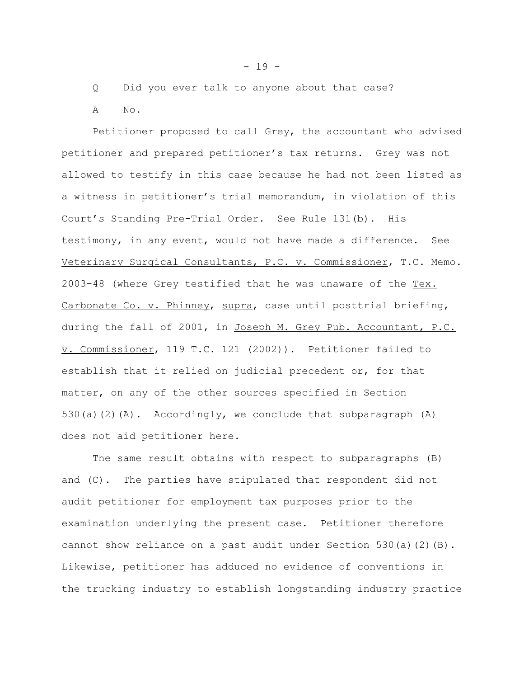Q Did you ever talk to anyone about that case? A No.

Petitioner proposed to call Grey, the accountant who advised petitioner and prepared petitioner's tax returns. Grey was not allowed to testify in this case because he had not been listed as a witness in petitioner's trial memorandum, in violation of this Court's Standing Pre-Trial Order. See Rule 131(b). His testimony, in any event, would not have made a difference. See Veterinary Surgical Consultants, P.C. v. Commissioner, T.C. Memo. 2003-48 (where Grey testified that he was unaware of the Tex. Carbonate Co. v. Phinney, supra, case until posttrial briefing, during the fall of 2001, in Joseph M. Grey Pub. Accountant, P.C. v. Commissioner, 119 T.C. 121 (2002)). Petitioner failed to establish that it relied on judicial precedent or, for that matter, on any of the other sources specified in Section 530(a)(2)(A). Accordingly, we conclude that subparagraph (A) does not aid petitioner here.

The same result obtains with respect to subparagraphs (B) and (C). The parties have stipulated that respondent did not audit petitioner for employment tax purposes prior to the examination underlying the present case. Petitioner therefore cannot show reliance on a past audit under Section 530(a)(2)(B). Likewise, petitioner has adduced no evidence of conventions in the trucking industry to establish longstanding industry practice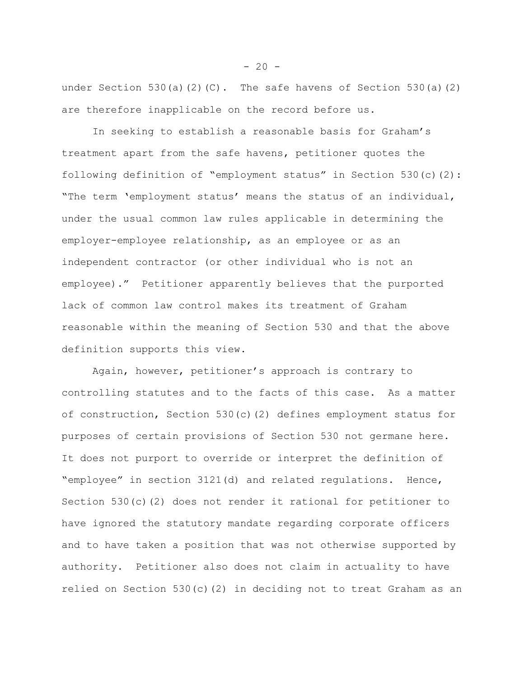under Section 530(a)(2)(C). The safe havens of Section 530(a)(2) are therefore inapplicable on the record before us.

In seeking to establish a reasonable basis for Graham's treatment apart from the safe havens, petitioner quotes the following definition of "employment status" in Section 530(c)(2): "The term 'employment status' means the status of an individual, under the usual common law rules applicable in determining the employer-employee relationship, as an employee or as an independent contractor (or other individual who is not an employee)." Petitioner apparently believes that the purported lack of common law control makes its treatment of Graham reasonable within the meaning of Section 530 and that the above definition supports this view.

Again, however, petitioner's approach is contrary to controlling statutes and to the facts of this case. As a matter of construction, Section 530(c)(2) defines employment status for purposes of certain provisions of Section 530 not germane here. It does not purport to override or interpret the definition of "employee" in section 3121(d) and related regulations. Hence, Section 530(c)(2) does not render it rational for petitioner to have ignored the statutory mandate regarding corporate officers and to have taken a position that was not otherwise supported by authority. Petitioner also does not claim in actuality to have relied on Section 530(c)(2) in deciding not to treat Graham as an

 $-20 -$